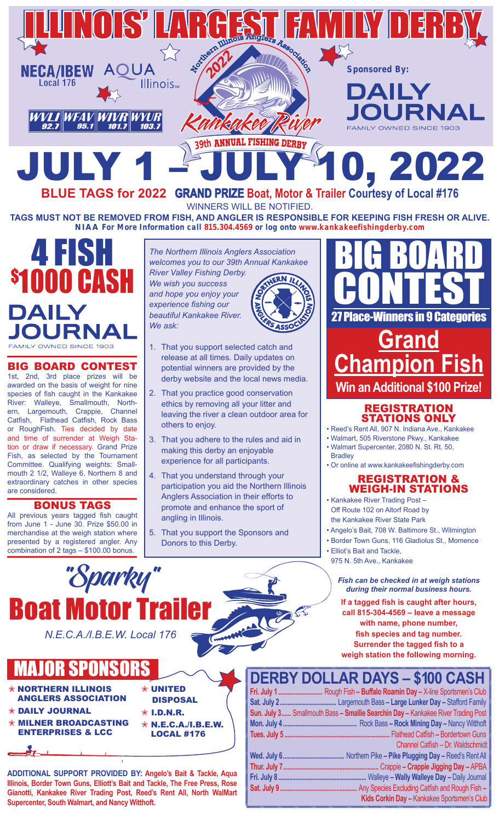

**BLUE TAGS for 2022 GRAND PRIZE Boat, Motor & Trailer Courtesy of Local #176** WINNERS WILL BE NOTIFIED. **TAGS MUST NOT BE REMOVED FROM FISH, AND ANGLER IS RESPONSIBLE FOR KEEPING FISH FRESH OR ALIVE.**

**NIAA For More Information call 815.304.4569 or log onto www.kankakeefishingderby.com**



#### BIG BOARD CONTEST

1st, 2nd, 3rd place prizes will be awarded on the basis of weight for nine species of fish caught in the Kankakee River: Walleye, Smallmouth, Northern, Largemouth, Crappie, Channel Catfish, Flathead Catfish, Rock Bass or RoughFish. Ties decided by date and time of surrender at Weigh Station or draw if necessary. Grand Prize Fish, as selected by the Tournament Committee. Qualifying weights: Smallmouth 2 1/2, Walleye 6, Northern 8 and extraordinary catches in other species are considered.

#### BONUS TAGS

All previous years tagged fish caught from June 1 - June 30. Prize \$50.00 in merchandise at the weigh station where presented by a registered angler. Any combination of 2 tags – \$100.00 bonus.

*The Northern Illinois Anglers Association welcomes you to our 39th Annual Kankakee River Valley Fishing Derby. We wish you success and hope you enjoy your experience fishing our beautiful Kankakee River.* 

*We ask:*

- 1. That you support selected catch and release at all times. Daily updates on potential winners are provided by the derby website and the local news media.
- 2. That you practice good conservation ethics by removing all your litter and leaving the river a clean outdoor area for others to enjoy.
- 3. That you adhere to the rules and aid in making this derby an enjoyable experience for all participants.
- 4. That you understand through your participation you aid the Northern Illinois Anglers Association in their efforts to promote and enhance the sport of angling in Illinois.
- 5. That you support the Sponsors and Donors to this Derby.



### **Grand Champion Fish Win an Additional \$100 Prize!**

*Tinners in 9 Categories* 

### REGISTRATION STATIONS ONLY

- Reed's Rent All, 907 N. Indiana Ave., Kankakee
- Walmart, 505 Riverstone Pkwy., Kankakee • Walmart Supercenter, 2080 N. St. Rt. 50,
- **Bradley**
- Or online at www.kankakeefishingderby.com

### REGISTRATION & WEIGH-IN STATIONS

- Kankakee River Trading Post Off Route 102 on Altorf Road by the Kankakee River State Park
- Angelo's Bait, 708 W. Baltimore St., Wilmington
- Border Town Guns, 116 Gladiolus St., Momence
- Elliot's Bait and Tackle, 975 N. 5th Ave., Kankakee

*Fish can be checked in at weigh stations during their normal business hours.*

**If a tagged fish is caught after hours, call 815-304-4569 – leave a message with name, phone number, fish species and tag number. Surrender the tagged fish to a weigh station the following morning.**

# *N.E.C.A./I.B.E.W. Local 176*

"Sparky"

## MAJOR SPONSORS

**Boat Motor 1** 

- N NORTHERN ILLINOIS ANGLERS ASSOCIATION
- DAILY JOURNAL

å.

- **MILNER BROADCASTING** ENTERPRISES & LCC
- $\hat{\mathbf{x}}$  I.D.N.R.

**UNITED** DISPOSAL

N N.E.C.A./I.B.E.W. LOCAL #176

**ADDITIONAL SUPPORT PROVIDED BY: Angelo's Bait & Tackle, Aqua Illinois, Border Town Guns, Elliott's Bait and Tackle, The Free Press, Rose Gianotti, Kankakee River Trading Post, Reed's Rent All, North WalMart Supercenter, South Walmart, and Nancy Witthoft.**

### **DERBY DOLLAR DAYS – \$100 CASH**

| Fri. July 1 Rough Fish - Buffalo Roamin Day - X-line Sportsmen's Club            |
|----------------------------------------------------------------------------------|
|                                                                                  |
| Sun. July 3 Smallmouth Bass - Smallie Searchin Day - Kankakee River Trading Post |
|                                                                                  |
|                                                                                  |
| Channel Catfish - Dr. Waldschmidt                                                |
|                                                                                  |
|                                                                                  |
|                                                                                  |
|                                                                                  |
| Kids Corkin Day - Kankakee Sportsmen's Club                                      |
|                                                                                  |